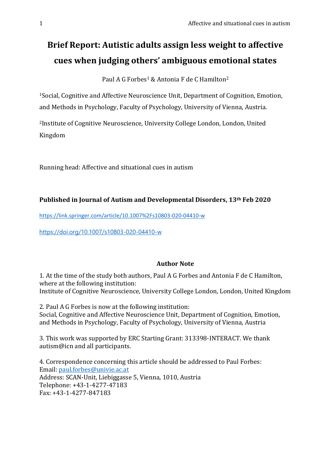# **Brief Report: Autistic adults assign less weight to affective cues when judging others' ambiguous emotional states**

Paul A G Forbes<sup>1</sup> & Antonia F de C Hamilton<sup>2</sup>

<sup>1</sup>Social, Cognitive and Affective Neuroscience Unit, Department of Cognition, Emotion, and Methods in Psychology, Faculty of Psychology, University of Vienna, Austria.

<sup>2</sup>Institute of Cognitive Neuroscience, University College London, London, United Kingdom

Running head: Affective and situational cues in autism

# **Published in Journal of Autism and Developmental Disorders, 13th Feb 2020**

<https://link.springer.com/article/10.1007%2Fs10803-020-04410-w>

<https://doi.org/10.1007/s10803-020-04410-w>

## **Author Note**

1. At the time of the study both authors, Paul A G Forbes and Antonia F de C Hamilton, where at the following institution: Institute of Cognitive Neuroscience, University College London, London, United Kingdom

2. Paul A G Forbes is now at the following institution: Social, Cognitive and Affective Neuroscience Unit, Department of Cognition, Emotion, and Methods in Psychology, Faculty of Psychology, University of Vienna, Austria

3. This work was supported by ERC Starting Grant: 313398-INTERACT. We thank autism@icn and all participants.

4. Correspondence concerning this article should be addressed to Paul Forbes: Email: [paul.forbes@univie.ac.at](mailto:paul.forbes@univie.ac.at) Address: SCAN-Unit, Liebiggasse 5, Vienna, 1010, Austria Telephone: +43-1-4277-47183 Fax: +43-1-4277-847183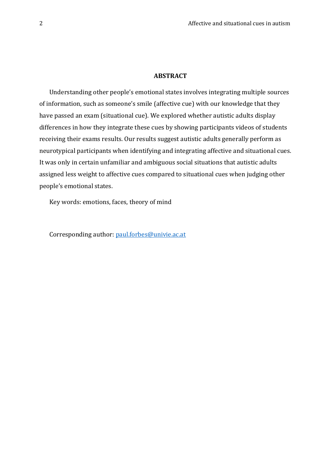## **ABSTRACT**

Understanding other people's emotional states involves integrating multiple sources of information, such as someone's smile (affective cue) with our knowledge that they have passed an exam (situational cue). We explored whether autistic adults display differences in how they integrate these cues by showing participants videos of students receiving their exams results. Our results suggest autistic adults generally perform as neurotypical participants when identifying and integrating affective and situational cues. It was only in certain unfamiliar and ambiguous social situations that autistic adults assigned less weight to affective cues compared to situational cues when judging other people's emotional states.

Key words: emotions, faces, theory of mind

Corresponding author: [paul.forbes@univie.ac.at](mailto:paul.forbes@univie.ac.at)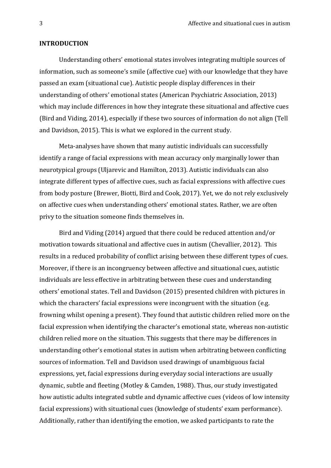#### **INTRODUCTION**

Understanding others' emotional states involves integrating multiple sources of information, such as someone's smile (affective cue) with our knowledge that they have passed an exam (situational cue). Autistic people display differences in their understanding of others' emotional states (American Psychiatric Association, 2013) which may include differences in how they integrate these situational and affective cues (Bird and Viding, 2014), especially if these two sources of information do not align (Tell and Davidson, 2015). This is what we explored in the current study.

Meta-analyses have shown that many autistic individuals can successfully identify a range of facial expressions with mean accuracy only marginally lower than neurotypical groups (Uljarevic and Hamilton, 2013). Autistic individuals can also integrate different types of affective cues, such as facial expressions with affective cues from body posture (Brewer, Biotti, Bird and Cook, 2017). Yet, we do not rely exclusively on affective cues when understanding others' emotional states. Rather, we are often privy to the situation someone finds themselves in.

Bird and Viding (2014) argued that there could be reduced attention and/or motivation towards situational and affective cues in autism (Chevallier, 2012). This results in a reduced probability of conflict arising between these different types of cues. Moreover, if there is an incongruency between affective and situational cues, autistic individuals are less effective in arbitrating between these cues and understanding others' emotional states. Tell and Davidson (2015) presented children with pictures in which the characters' facial expressions were incongruent with the situation (e.g. frowning whilst opening a present). They found that autistic children relied more on the facial expression when identifying the character's emotional state, whereas non-autistic children relied more on the situation. This suggests that there may be differences in understanding other's emotional states in autism when arbitrating between conflicting sources of information. Tell and Davidson used drawings of unambiguous facial expressions, yet, facial expressions during everyday social interactions are usually dynamic, subtle and fleeting (Motley & Camden, 1988). Thus, our study investigated how autistic adults integrated subtle and dynamic affective cues (videos of low intensity facial expressions) with situational cues (knowledge of students' exam performance). Additionally, rather than identifying the emotion, we asked participants to rate the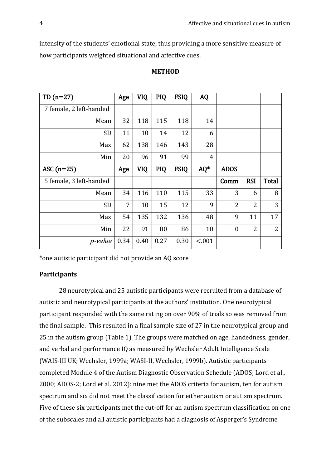intensity of the students' emotional state, thus providing a more sensitive measure of how participants weighted situational and affective cues.

| TD $(n=27)$             | Age  | <b>VIQ</b> | <b>PIQ</b> | <b>FSIQ</b> | <b>AQ</b>      |                |                |                |
|-------------------------|------|------------|------------|-------------|----------------|----------------|----------------|----------------|
| 7 female, 2 left-handed |      |            |            |             |                |                |                |                |
| Mean                    | 32   | 118        | 115        | 118         | 14             |                |                |                |
| SD                      | 11   | 10         | 14         | 12          | 6              |                |                |                |
| Max                     | 62   | 138        | 146        | 143         | 28             |                |                |                |
| Min                     | 20   | 96         | 91         | 99          | $\overline{4}$ |                |                |                |
| ASC $(n=25)$            | Age  | VIQ        | <b>PIQ</b> | <b>FSIQ</b> | $AQ^*$         | <b>ADOS</b>    |                |                |
| 5 female, 3 left-handed |      |            |            |             |                | Comm           | <b>RSI</b>     | <b>Total</b>   |
| Mean                    | 34   | 116        | 110        | 115         | 33             | 3              | 6              | 8              |
| <b>SD</b>               | 7    | 10         | 15         | 12          | 9              | $\overline{2}$ | $\overline{2}$ | 3              |
| Max                     | 54   | 135        | 132        | 136         | 48             | 9              | 11             | 17             |
| Min                     | 22   | 91         | 80         | 86          | 10             | $\mathbf{0}$   | $\overline{2}$ | $\overline{2}$ |
| <i>p</i> -value         | 0.34 | 0.40       | 0.27       | 0.30        | < .001         |                |                |                |

## **METHOD**

\*one autistic participant did not provide an AQ score

## **Participants**

28 neurotypical and 25 autistic participants were recruited from a database of autistic and neurotypical participants at the authors' institution. One neurotypical participant responded with the same rating on over 90% of trials so was removed from the final sample. This resulted in a final sample size of 27 in the neurotypical group and 25 in the autism group (Table 1). The groups were matched on age, handedness, gender, and verbal and performance IQ as measured by Wechsler Adult Intelligence Scale (WAIS-III UK; Wechsler, 1999a; WASI-II, Wechsler, 1999b). Autistic participants completed Module 4 of the Autism Diagnostic Observation Schedule (ADOS; Lord et al., 2000; ADOS-2; Lord et al. 2012): nine met the ADOS criteria for autism, ten for autism spectrum and six did not meet the classification for either autism or autism spectrum. Five of these six participants met the cut-off for an autism spectrum classification on one of the subscales and all autistic participants had a diagnosis of Asperger's Syndrome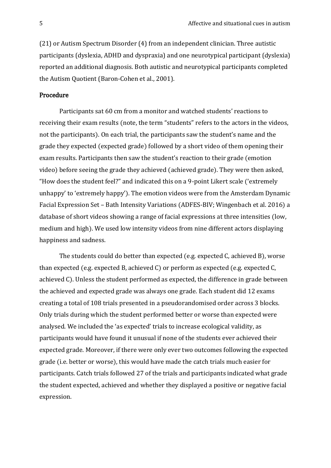(21) or Autism Spectrum Disorder (4) from an independent clinician. Three autistic participants (dyslexia, ADHD and dyspraxia) and one neurotypical participant (dyslexia) reported an additional diagnosis. Both autistic and neurotypical participants completed the Autism Quotient (Baron-Cohen et al., 2001).

## Procedure

Participants sat 60 cm from a monitor and watched students' reactions to receiving their exam results (note, the term "students" refers to the actors in the videos, not the participants). On each trial, the participants saw the student's name and the grade they expected (expected grade) followed by a short video of them opening their exam results. Participants then saw the student's reaction to their grade (emotion video) before seeing the grade they achieved (achieved grade). They were then asked, "How does the student feel?" and indicated this on a 9-point Likert scale ('extremely unhappy' to 'extremely happy'). The emotion videos were from the Amsterdam Dynamic Facial Expression Set – Bath Intensity Variations (ADFES-BIV; Wingenbach et al. 2016) a database of short videos showing a range of facial expressions at three intensities (low, medium and high). We used low intensity videos from nine different actors displaying happiness and sadness.

The students could do better than expected (e.g. expected C, achieved B), worse than expected (e.g. expected B, achieved C) or perform as expected (e.g. expected C, achieved C). Unless the student performed as expected, the difference in grade between the achieved and expected grade was always one grade. Each student did 12 exams creating a total of 108 trials presented in a pseudorandomised order across 3 blocks. Only trials during which the student performed better or worse than expected were analysed. We included the 'as expected' trials to increase ecological validity, as participants would have found it unusual if none of the students ever achieved their expected grade. Moreover, if there were only ever two outcomes following the expected grade (i.e. better or worse), this would have made the catch trials much easier for participants. Catch trials followed 27 of the trials and participants indicated what grade the student expected, achieved and whether they displayed a positive or negative facial expression.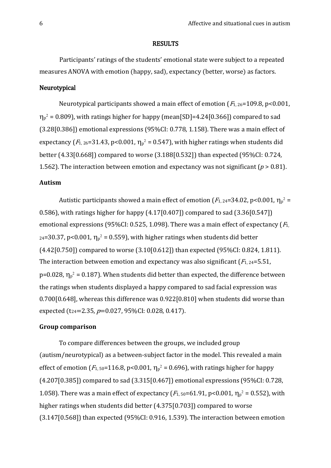#### RESULTS

Participants' ratings of the students' emotional state were subject to a repeated measures ANOVA with emotion (happy, sad), expectancy (better, worse) as factors.

### Neurotypical

Neurotypical participants showed a main effect of emotion  $(F_{1, 26}=109.8, p<0.001,$  $\eta_p^2$  = 0.809), with ratings higher for happy (mean[SD]=4.24[0.366]) compared to sad (3.28[0.386]) emotional expressions (95%CI: 0.778, 1.158). There was a main effect of expectancy ( $F_{1, 26}$ =31.43, p<0.001,  $\eta_p^2$  = 0.547), with higher ratings when students did better (4.33[0.668]) compared to worse (3.188[0.532]) than expected (95%CI: 0.724, 1.562). The interaction between emotion and expectancy was not significant ( $p > 0.81$ ).

## **Autism**

Autistic participants showed a main effect of emotion ( $F_{1,24}=34.02$ , p<0.001,  $\eta_{p}^{2}$  = 0.586), with ratings higher for happy (4.17[0.407]) compared to sad (3.36[0.547]) emotional expressions (95%CI: 0.525, 1.098). There was a main effect of expectancy  $(F_1,$  $_{24}$ =30.37, p<0.001,  $\eta_{p}^2$  = 0.559), with higher ratings when students did better (4.42[0.750]) compared to worse (3.10[0.612]) than expected (95%CI: 0.824, 1.811). The interaction between emotion and expectancy was also significant  $(F_{1, 24}=5.51)$ ,  $p=0.028$ ,  $\eta_p^2 = 0.187$ ). When students did better than expected, the difference between the ratings when students displayed a happy compared to sad facial expression was 0.700[0.648], whereas this difference was 0.922[0.810] when students did worse than expected (t<sub>24</sub>=2.35,  $p=0.027$ , 95%CI: 0.028, 0.417).

## **Group comparison**

To compare differences between the groups, we included group (autism/neurotypical) as a between-subject factor in the model. This revealed a main effect of emotion ( $F_{1, 50}$ =116.8, p<0.001,  $\eta_p^2$  = 0.696), with ratings higher for happy (4.207[0.385]) compared to sad (3.315[0.467]) emotional expressions (95%CI: 0.728, 1.058). There was a main effect of expectancy ( $F_{1,50} = 61.91$ , p<0.001,  $\eta_p^2 = 0.552$ ), with higher ratings when students did better (4.375[0.703]) compared to worse (3.147[0.568]) than expected (95%CI: 0.916, 1.539). The interaction between emotion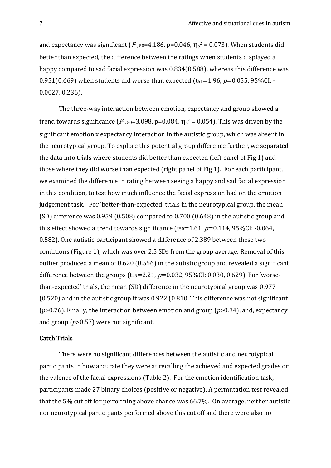and expectancy was significant ( $F_{1,50}$ =4.186, p=0.046,  $\eta_p^2$  = 0.073). When students did better than expected, the difference between the ratings when students displayed a happy compared to sad facial expression was 0.834(0.588), whereas this difference was 0.951(0.669) when students did worse than expected ( $t_{51}=1.96$ ,  $p=0.055$ , 95%CI: -0.0027, 0.236).

The three-way interaction between emotion, expectancy and group showed a trend towards significance ( $F_{1,50}=3.098$ , p=0.084,  $\eta_p^2 = 0.054$ ). This was driven by the significant emotion x expectancy interaction in the autistic group, which was absent in the neurotypical group. To explore this potential group difference further, we separated the data into trials where students did better than expected (left panel of Fig 1) and those where they did worse than expected (right panel of Fig 1). For each participant, we examined the difference in rating between seeing a happy and sad facial expression in this condition, to test how much influence the facial expression had on the emotion judgement task. For 'better-than-expected' trials in the neurotypical group, the mean (SD) difference was 0.959 (0.508) compared to 0.700 (0.648) in the autistic group and this effect showed a trend towards significance (t<sub>50</sub>=1.61,  $p=0.114$ , 95%CI: -0.064, 0.582). One autistic participant showed a difference of 2.389 between these two conditions (Figure 1), which was over 2.5 SDs from the group average. Removal of this outlier produced a mean of 0.620 (0.556) in the autistic group and revealed a significant difference between the groups ( $t_{49}$ =2.21,  $p$ =0.032, 95%CI: 0.030, 0.629). For 'worsethan-expected' trials, the mean (SD) difference in the neurotypical group was 0.977 (0.520) and in the autistic group it was 0.922 (0.810. This difference was not significant (*p*>0.76). Finally, the interaction between emotion and group (*p*>0.34), and, expectancy and group (*p*>0.57) were not significant.

## Catch Trials

There were no significant differences between the autistic and neurotypical participants in how accurate they were at recalling the achieved and expected grades or the valence of the facial expressions (Table 2). For the emotion identification task, participants made 27 binary choices (positive or negative). A permutation test revealed that the 5% cut off for performing above chance was 66.7%. On average, neither autistic nor neurotypical participants performed above this cut off and there were also no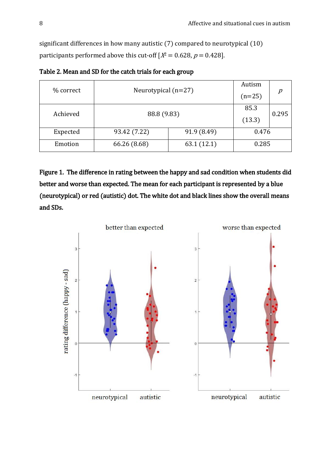significant differences in how many autistic (7) compared to neurotypical (10) participants performed above this cut-off  $[X^2 = 0.628, p = 0.428]$ .

| % correct | Neurotypical $(n=27)$ | Autism      |                              |  |  |
|-----------|-----------------------|-------------|------------------------------|--|--|
|           |                       |             | $\boldsymbol{p}$<br>$(n=25)$ |  |  |
| Achieved  |                       | 85.3        | 0.295                        |  |  |
|           | 88.8 (9.83)           |             | (13.3)                       |  |  |
| Expected  | 93.42 (7.22)          | 91.9 (8.49) | 0.476                        |  |  |
| Emotion   | 66.26 (8.68)          | 63.1(12.1)  | 0.285                        |  |  |

Table 2. Mean and SD for the catch trials for each group

Figure 1. The difference in rating between the happy and sad condition when students did better and worse than expected. The mean for each participant is represented by a blue (neurotypical) or red (autistic) dot. The white dot and black lines show the overall means and SDs.

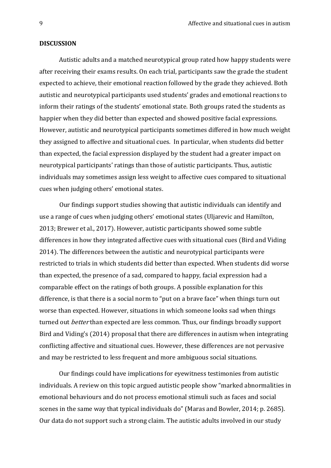#### **DISCUSSION**

Autistic adults and a matched neurotypical group rated how happy students were after receiving their exams results. On each trial, participants saw the grade the student expected to achieve, their emotional reaction followed by the grade they achieved. Both autistic and neurotypical participants used students' grades and emotional reactions to inform their ratings of the students' emotional state. Both groups rated the students as happier when they did better than expected and showed positive facial expressions. However, autistic and neurotypical participants sometimes differed in how much weight they assigned to affective and situational cues. In particular, when students did better than expected, the facial expression displayed by the student had a greater impact on neurotypical participants' ratings than those of autistic participants. Thus, autistic individuals may sometimes assign less weight to affective cues compared to situational cues when judging others' emotional states.

Our findings support studies showing that autistic individuals can identify and use a range of cues when judging others' emotional states (Uljarevic and Hamilton, 2013; Brewer et al., 2017). However, autistic participants showed some subtle differences in how they integrated affective cues with situational cues (Bird and Viding 2014). The differences between the autistic and neurotypical participants were restricted to trials in which students did better than expected. When students did worse than expected, the presence of a sad, compared to happy, facial expression had a comparable effect on the ratings of both groups. A possible explanation for this difference, is that there is a social norm to "put on a brave face" when things turn out worse than expected. However, situations in which someone looks sad when things turned out *better* than expected are less common. Thus, our findings broadly support Bird and Viding's (2014) proposal that there are differences in autism when integrating conflicting affective and situational cues. However, these differences are not pervasive and may be restricted to less frequent and more ambiguous social situations.

Our findings could have implications for eyewitness testimonies from autistic individuals. A review on this topic argued autistic people show "marked abnormalities in emotional behaviours and do not process emotional stimuli such as faces and social scenes in the same way that typical individuals do" (Maras and Bowler, 2014; p. 2685). Our data do not support such a strong claim. The autistic adults involved in our study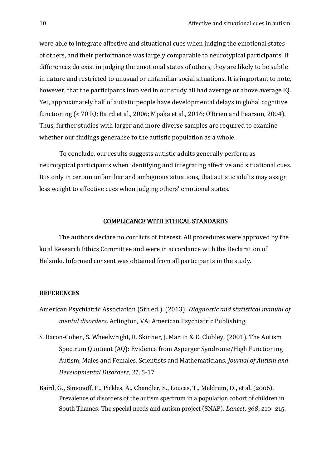were able to integrate affective and situational cues when judging the emotional states of others, and their performance was largely comparable to neurotypical participants. If differences do exist in judging the emotional states of others, they are likely to be subtle in nature and restricted to unusual or unfamiliar social situations. It is important to note, however, that the participants involved in our study all had average or above average IQ. Yet, approximately half of autistic people have developmental delays in global cognitive functioning (< 70 IQ; Baird et al., 2006; Mpaka et al., 2016; O'Brien and Pearson, 2004). Thus, further studies with larger and more diverse samples are required to examine whether our findings generalise to the autistic population as a whole.

To conclude, our results suggests autistic adults generally perform as neurotypical participants when identifying and integrating affective and situational cues. It is only in certain unfamiliar and ambiguous situations, that autistic adults may assign less weight to affective cues when judging others' emotional states.

#### COMPLICANCE WITH ETHICAL STANDARDS

The authors declare no conflicts of interest. All procedures were approved by the local Research Ethics Committee and were in accordance with the Declaration of Helsinki. Informed consent was obtained from all participants in the study.

#### **REFERENCES**

- American Psychiatric Association (5th ed.). (2013). *Diagnostic and statistical manual of mental disorders*. Arlington, VA: American Psychiatric Publishing.
- S. Baron-Cohen, S. Wheelwright, R. Skinner, J. Martin & E. Clubley, (2001). The Autism Spectrum Quotient (AQ): Evidence from Asperger Syndrome/High Functioning Autism, Males and Females, Scientists and Mathematicians. *Journal of Autism and Developmental Disorders*, *31*, 5-17
- Baird, G., Simonoff, E., Pickles, A., Chandler, S., Loucas, T., Meldrum, D., et al. (2006). Prevalence of disorders of the autism spectrum in a population cohort of children in South Thames: The special needs and autism project (SNAP). *Lancet, 368*, 210–215.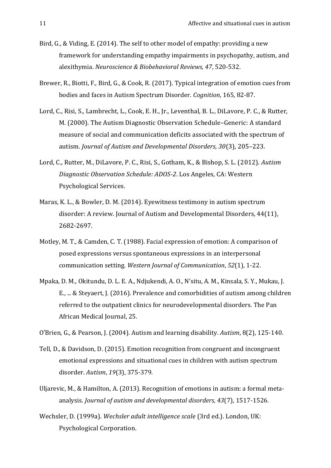- Bird, G., & Viding, E. (2014). The self to other model of empathy: providing a new framework for understanding empathy impairments in psychopathy, autism, and alexithymia. *Neuroscience & Biobehavioral Reviews, 47*, 520-532.
- Brewer, R., Biotti, F., Bird, G., & Cook, R. (2017). Typical integration of emotion cues from bodies and faces in Autism Spectrum Disorder. *Cognition*, 165, 82-87.
- Lord, C., Risi, S., Lambrecht, L., Cook, E. H., Jr., Leventhal, B. L., DiLavore, P. C., & Rutter, M. (2000). The Autism Diagnostic Observation Schedule–Generic: A standard measure of social and communication deficits associated with the spectrum of autism. *Journal of Autism and Developmental Disorders, 30*(3), 205–223.
- Lord, C., Rutter, M., DiLavore, P. C., Risi, S., Gotham, K., & Bishop, S. L. (2012). *Autism Diagnostic Observation Schedule: ADOS-2*. Los Angeles, CA: Western Psychological Services.
- Maras, K. L., & Bowler, D. M. (2014). Eyewitness testimony in autism spectrum disorder: A review. Journal of Autism and Developmental Disorders, 44(11), 2682-2697.
- Motley, M. T., & Camden, C. T. (1988). Facial expression of emotion: A comparison of posed expressions versus spontaneous expressions in an interpersonal communication setting. *Western Journal of Communication*, *52*(1), 1-22.
- Mpaka, D. M., Okitundu, D. L. E. A., Ndjukendi, A. O., N'situ, A. M., Kinsala, S. Y., Mukau, J. E., ... & Steyaert, J. (2016). Prevalence and comorbidities of autism among children referred to the outpatient clinics for neurodevelopmental disorders. The Pan African Medical Journal, 25.

O'Brien, G., & Pearson, J. (2004). Autism and learning disability. *Autism*, 8(2), 125-140.

- Tell, D., & Davidson, D. (2015). Emotion recognition from congruent and incongruent emotional expressions and situational cues in children with autism spectrum disorder. *Autism*, *19*(3), 375-379.
- Uljarevic, M., & Hamilton, A. (2013). Recognition of emotions in autism: a formal metaanalysis. *Journal of autism and developmental disorders, 43*(7), 1517-1526.
- Wechsler, D. (1999a). *Wechsler adult intelligence scale* (3rd ed.). London, UK: Psychological Corporation.